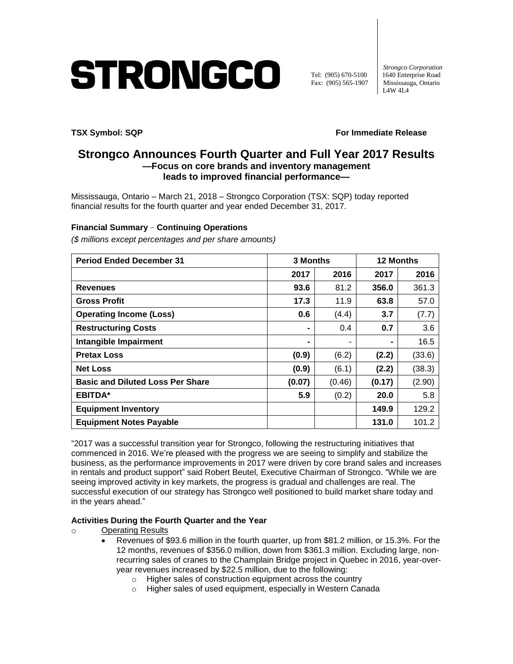# STRONGCO

 *Strongco Corporation* Tel: (905) 670-5100 1640 Enterprise Road<br>Fax: (905) 565-1907 Mississauga, Ontario Mississauga, Ontario L4W 4L4

**TSX Symbol: SQP** For Immediate Release

# **Strongco Announces Fourth Quarter and Full Year 2017 Results —Focus on core brands and inventory management leads to improved financial performance—**

Mississauga, Ontario – March 21, 2018 – Strongco Corporation (TSX: SQP) today reported financial results for the fourth quarter and year ended December 31, 2017.

# **Financial Summary – Continuing Operations**

*(\$ millions except percentages and per share amounts)*

| <b>Period Ended December 31</b>         | 3 Months       |        | <b>12 Months</b> |        |
|-----------------------------------------|----------------|--------|------------------|--------|
|                                         | 2017           | 2016   | 2017             | 2016   |
| <b>Revenues</b>                         | 93.6           | 81.2   | 356.0            | 361.3  |
| <b>Gross Profit</b>                     | 17.3           | 11.9   | 63.8             | 57.0   |
| <b>Operating Income (Loss)</b>          | 0.6            | (4.4)  | 3.7              | (7.7)  |
| <b>Restructuring Costs</b>              | $\blacksquare$ | 0.4    | 0.7              | 3.6    |
| Intangible Impairment                   |                | ٠      |                  | 16.5   |
| <b>Pretax Loss</b>                      | (0.9)          | (6.2)  | (2.2)            | (33.6) |
| <b>Net Loss</b>                         | (0.9)          | (6.1)  | (2.2)            | (38.3) |
| <b>Basic and Diluted Loss Per Share</b> | (0.07)         | (0.46) | (0.17)           | (2.90) |
| <b>EBITDA*</b>                          | 5.9            | (0.2)  | 20.0             | 5.8    |
| <b>Equipment Inventory</b>              |                |        | 149.9            | 129.2  |
| <b>Equipment Notes Payable</b>          |                |        | 131.0            | 101.2  |

"2017 was a successful transition year for Strongco, following the restructuring initiatives that commenced in 2016. We're pleased with the progress we are seeing to simplify and stabilize the business, as the performance improvements in 2017 were driven by core brand sales and increases in rentals and product support" said Robert Beutel, Executive Chairman of Strongco. "While we are seeing improved activity in key markets, the progress is gradual and challenges are real. The successful execution of our strategy has Strongco well positioned to build market share today and in the years ahead."

#### **Activities During the Fourth Quarter and the Year**

- o Operating Results
	- Revenues of \$93.6 million in the fourth quarter, up from \$81.2 million, or 15.3%. For the 12 months, revenues of \$356.0 million, down from \$361.3 million. Excluding large, nonrecurring sales of cranes to the Champlain Bridge project in Quebec in 2016, year-overyear revenues increased by \$22.5 million, due to the following:
		- o Higher sales of construction equipment across the country
		- o Higher sales of used equipment, especially in Western Canada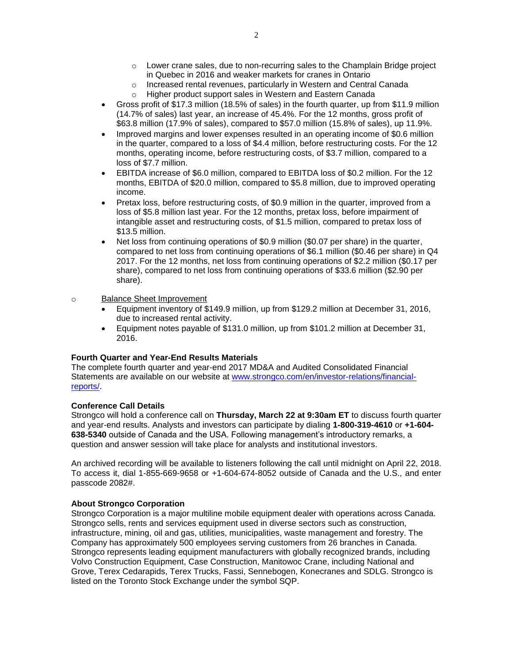- o Lower crane sales, due to non-recurring sales to the Champlain Bridge project in Quebec in 2016 and weaker markets for cranes in Ontario
- o Increased rental revenues, particularly in Western and Central Canada
- o Higher product support sales in Western and Eastern Canada
- Gross profit of \$17.3 million (18.5% of sales) in the fourth quarter, up from \$11.9 million (14.7% of sales) last year, an increase of 45.4%. For the 12 months, gross profit of \$63.8 million (17.9% of sales), compared to \$57.0 million (15.8% of sales), up 11.9%.
- Improved margins and lower expenses resulted in an operating income of \$0.6 million in the quarter, compared to a loss of \$4.4 million, before restructuring costs. For the 12 months, operating income, before restructuring costs, of \$3.7 million, compared to a loss of \$7.7 million.
- EBITDA increase of \$6.0 million, compared to EBITDA loss of \$0.2 million. For the 12 months, EBITDA of \$20.0 million, compared to \$5.8 million, due to improved operating income.
- Pretax loss, before restructuring costs, of \$0.9 million in the quarter, improved from a loss of \$5.8 million last year. For the 12 months, pretax loss, before impairment of intangible asset and restructuring costs, of \$1.5 million, compared to pretax loss of \$13.5 million.
- Net loss from continuing operations of \$0.9 million (\$0.07 per share) in the quarter, compared to net loss from continuing operations of \$6.1 million (\$0.46 per share) in Q4 2017. For the 12 months, net loss from continuing operations of \$2.2 million (\$0.17 per share), compared to net loss from continuing operations of \$33.6 million (\$2.90 per share).

#### o Balance Sheet Improvement

- Equipment inventory of \$149.9 million, up from \$129.2 million at December 31, 2016, due to increased rental activity.
- Equipment notes payable of \$131.0 million, up from \$101.2 million at December 31, 2016.

# **Fourth Quarter and Year-End Results Materials**

The complete fourth quarter and year-end 2017 MD&A and Audited Consolidated Financial Statements are available on our website at [www.strongco.com/en/investor-relations/financial](http://www.strongco.com/en/investor-relations/financial-reports/)[reports/.](http://www.strongco.com/en/investor-relations/financial-reports/)

# **Conference Call Details**

Strongco will hold a conference call on **Thursday, March 22 at 9:30am ET** to discuss fourth quarter and year-end results. Analysts and investors can participate by dialing **1-800-319-4610** or **+1-604- 638-5340** outside of Canada and the USA. Following management's introductory remarks, a question and answer session will take place for analysts and institutional investors.

An archived recording will be available to listeners following the call until midnight on April 22, 2018. To access it, dial 1-855-669-9658 or +1-604-674-8052 outside of Canada and the U.S., and enter passcode 2082#.

# **About Strongco Corporation**

Strongco Corporation is a major multiline mobile equipment dealer with operations across Canada. Strongco sells, rents and services equipment used in diverse sectors such as construction, infrastructure, mining, oil and gas, utilities, municipalities, waste management and forestry. The Company has approximately 500 employees serving customers from 26 branches in Canada. Strongco represents leading equipment manufacturers with globally recognized brands, including Volvo Construction Equipment, Case Construction, Manitowoc Crane, including National and Grove, Terex Cedarapids, Terex Trucks, Fassi, Sennebogen, Konecranes and SDLG. Strongco is listed on the Toronto Stock Exchange under the symbol SQP.